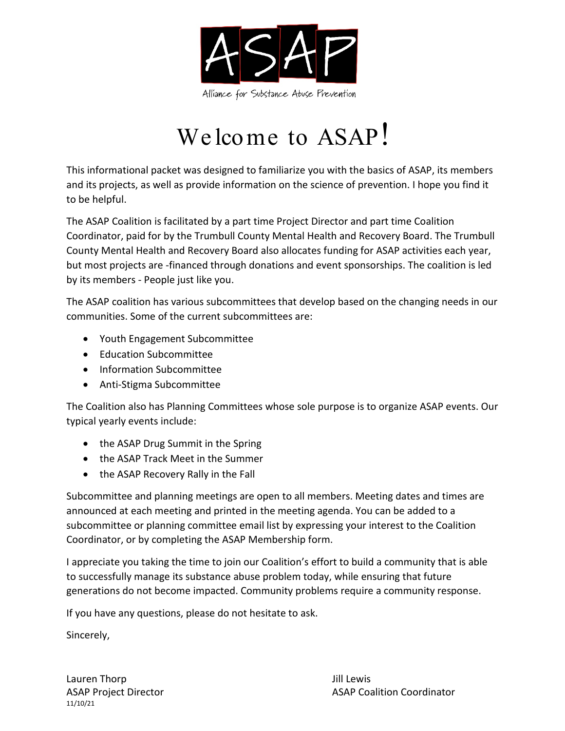

# We lcome to ASAP!

This informational packet was designed to familiarize you with the basics of ASAP, its members and its projects, as well as provide information on the science of prevention. I hope you find it to be helpful.

The ASAP Coalition is facilitated by a part time Project Director and part time Coalition Coordinator, paid for by the Trumbull County Mental Health and Recovery Board. The Trumbull County Mental Health and Recovery Board also allocates funding for ASAP activities each year, but most projects are -financed through donations and event sponsorships. The coalition is led by its members - People just like you.

The ASAP coalition has various subcommittees that develop based on the changing needs in our communities. Some of the current subcommittees are:

- Youth Engagement Subcommittee
- Education Subcommittee
- Information Subcommittee
- Anti-Stigma Subcommittee

The Coalition also has Planning Committees whose sole purpose is to organize ASAP events. Our typical yearly events include:

- the ASAP Drug Summit in the Spring
- the ASAP Track Meet in the Summer
- the ASAP Recovery Rally in the Fall

Subcommittee and planning meetings are open to all members. Meeting dates and times are announced at each meeting and printed in the meeting agenda. You can be added to a subcommittee or planning committee email list by expressing your interest to the Coalition Coordinator, or by completing the ASAP Membership form.

I appreciate you taking the time to join our Coalition's effort to build a community that is able to successfully manage its substance abuse problem today, while ensuring that future generations do not become impacted. Community problems require a community response.

If you have any questions, please do not hesitate to ask.

Sincerely,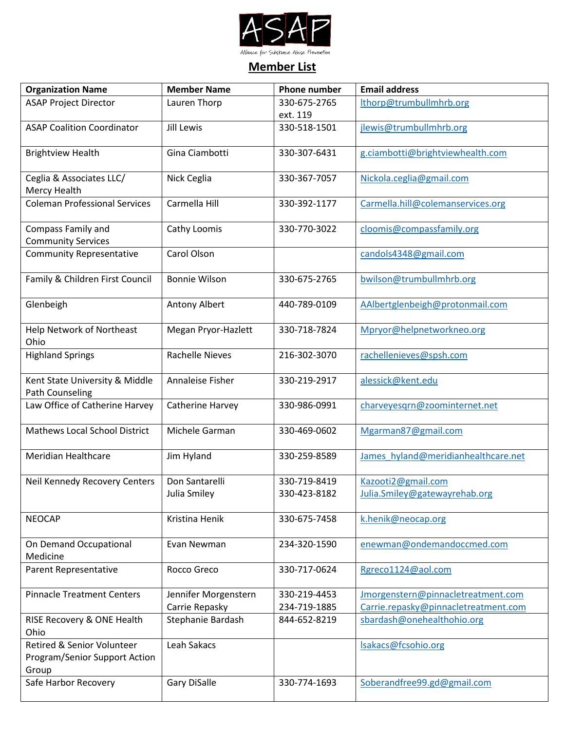

#### **Member List**

| <b>Organization Name</b>             | <b>Member Name</b>     | <b>Phone number</b> | <b>Email address</b>                 |
|--------------------------------------|------------------------|---------------------|--------------------------------------|
| <b>ASAP Project Director</b>         | Lauren Thorp           | 330-675-2765        | lthorp@trumbullmhrb.org              |
|                                      |                        | ext. 119            |                                      |
| <b>ASAP Coalition Coordinator</b>    | <b>Jill Lewis</b>      | 330-518-1501        | jlewis@trumbullmhrb.org              |
| <b>Brightview Health</b>             | Gina Ciambotti         | 330-307-6431        | g.ciambotti@brightviewhealth.com     |
| Ceglia & Associates LLC/             | Nick Ceglia            | 330-367-7057        | Nickola.ceglia@gmail.com             |
| Mercy Health                         |                        |                     |                                      |
| <b>Coleman Professional Services</b> | Carmella Hill          | 330-392-1177        | Carmella.hill@colemanservices.org    |
|                                      |                        |                     |                                      |
| Compass Family and                   | Cathy Loomis           | 330-770-3022        | cloomis@compassfamily.org            |
| <b>Community Services</b>            |                        |                     |                                      |
| <b>Community Representative</b>      | Carol Olson            |                     | candols4348@gmail.com                |
|                                      |                        |                     |                                      |
| Family & Children First Council      | <b>Bonnie Wilson</b>   | 330-675-2765        | bwilson@trumbullmhrb.org             |
|                                      |                        |                     |                                      |
| Glenbeigh                            | Antony Albert          | 440-789-0109        | AAlbertglenbeigh@protonmail.com      |
| <b>Help Network of Northeast</b>     | Megan Pryor-Hazlett    | 330-718-7824        | Mpryor@helpnetworkneo.org            |
| Ohio                                 |                        |                     |                                      |
| <b>Highland Springs</b>              | <b>Rachelle Nieves</b> | 216-302-3070        | rachellenieves@spsh.com              |
|                                      |                        |                     |                                      |
| Kent State University & Middle       | Annaleise Fisher       | 330-219-2917        | alessick@kent.edu                    |
| Path Counseling                      |                        |                     |                                      |
| Law Office of Catherine Harvey       | Catherine Harvey       | 330-986-0991        | charveyesqrn@zoominternet.net        |
|                                      |                        |                     |                                      |
| <b>Mathews Local School District</b> | Michele Garman         | 330-469-0602        | Mgarman87@gmail.com                  |
|                                      |                        |                     |                                      |
| <b>Meridian Healthcare</b>           | Jim Hyland             | 330-259-8589        | James hyland@meridianhealthcare.net  |
|                                      |                        |                     |                                      |
| Neil Kennedy Recovery Centers        | Don Santarelli         | 330-719-8419        | Kazooti2@gmail.com                   |
|                                      | Julia Smiley           | 330-423-8182        | Julia.Smiley@gatewayrehab.org        |
|                                      |                        |                     |                                      |
| <b>NEOCAP</b>                        | Kristina Henik         | 330-675-7458        | k.henik@neocap.org                   |
| On Demand Occupational               |                        | 234-320-1590        | enewman@ondemandoccmed.com           |
| Medicine                             | Evan Newman            |                     |                                      |
| Parent Representative                | Rocco Greco            | 330-717-0624        | Rgreco1124@aol.com                   |
|                                      |                        |                     |                                      |
| <b>Pinnacle Treatment Centers</b>    | Jennifer Morgenstern   | 330-219-4453        | Jmorgenstern@pinnacletreatment.com   |
|                                      | Carrie Repasky         | 234-719-1885        | Carrie.repasky@pinnacletreatment.com |
| RISE Recovery & ONE Health           | Stephanie Bardash      | 844-652-8219        | sbardash@onehealthohio.org           |
| Ohio                                 |                        |                     |                                      |
| Retired & Senior Volunteer           | Leah Sakacs            |                     | Isakacs@fcsohio.org                  |
| Program/Senior Support Action        |                        |                     |                                      |
| Group                                |                        |                     |                                      |
| Safe Harbor Recovery                 | Gary DiSalle           | 330-774-1693        | Soberandfree99.gd@gmail.com          |
|                                      |                        |                     |                                      |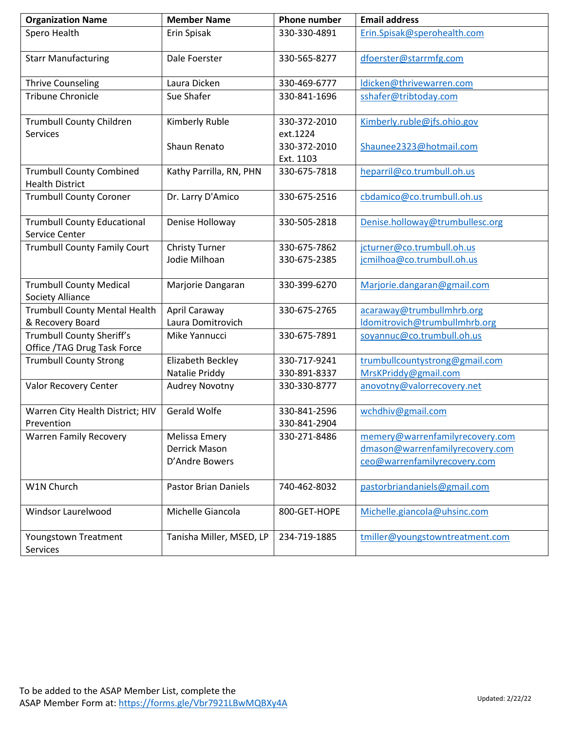| <b>Organization Name</b>                                  | <b>Member Name</b>          | <b>Phone number</b> | <b>Email address</b>            |
|-----------------------------------------------------------|-----------------------------|---------------------|---------------------------------|
| Spero Health                                              | Erin Spisak                 | 330-330-4891        | Erin.Spisak@sperohealth.com     |
| <b>Starr Manufacturing</b>                                | Dale Foerster               | 330-565-8277        | dfoerster@starrmfg.com          |
| <b>Thrive Counseling</b>                                  | Laura Dicken                | 330-469-6777        | ldicken@thrivewarren.com        |
| <b>Tribune Chronicle</b>                                  | Sue Shafer                  | 330-841-1696        | sshafer@tribtoday.com           |
| <b>Trumbull County Children</b>                           | Kimberly Ruble              | 330-372-2010        | Kimberly.ruble@jfs.ohio.gov     |
| <b>Services</b>                                           |                             | ext.1224            |                                 |
|                                                           | Shaun Renato                | 330-372-2010        | Shaunee2323@hotmail.com         |
|                                                           |                             | Ext. 1103           |                                 |
| <b>Trumbull County Combined</b><br><b>Health District</b> | Kathy Parrilla, RN, PHN     | 330-675-7818        | heparril@co.trumbull.oh.us      |
| <b>Trumbull County Coroner</b>                            | Dr. Larry D'Amico           | 330-675-2516        | cbdamico@co.trumbull.oh.us      |
| <b>Trumbull County Educational</b><br>Service Center      | Denise Holloway             | 330-505-2818        | Denise.holloway@trumbullesc.org |
| <b>Trumbull County Family Court</b>                       | <b>Christy Turner</b>       | 330-675-7862        | jcturner@co.trumbull.oh.us      |
|                                                           | Jodie Milhoan               | 330-675-2385        | jcmilhoa@co.trumbull.oh.us      |
| <b>Trumbull County Medical</b><br>Society Alliance        | Marjorie Dangaran           | 330-399-6270        | Marjorie.dangaran@gmail.com     |
| <b>Trumbull County Mental Health</b>                      | April Caraway               | 330-675-2765        | acaraway@trumbullmhrb.org       |
| & Recovery Board                                          | Laura Domitrovich           |                     | Idomitrovich@trumbullmhrb.org   |
| Trumbull County Sheriff's                                 | Mike Yannucci               | 330-675-7891        | soyannuc@co.trumbull.oh.us      |
| Office / TAG Drug Task Force                              |                             |                     |                                 |
| <b>Trumbull County Strong</b>                             | Elizabeth Beckley           | 330-717-9241        | trumbullcountystrong@gmail.com  |
|                                                           | Natalie Priddy              | 330-891-8337        | MrsKPriddy@gmail.com            |
| Valor Recovery Center                                     | Audrey Novotny              | 330-330-8777        | anovotny@valorrecovery.net      |
| Warren City Health District; HIV                          | Gerald Wolfe                | 330-841-2596        | wchdhiv@gmail.com               |
| Prevention                                                |                             | 330-841-2904        |                                 |
| <b>Warren Family Recovery</b>                             | Melissa Emery               | 330-271-8486        | memery@warrenfamilyrecovery.com |
|                                                           | Derrick Mason               |                     | dmason@warrenfamilyrecovery.com |
|                                                           | D'Andre Bowers              |                     | ceo@warrenfamilyrecovery.com    |
| W1N Church                                                | <b>Pastor Brian Daniels</b> | 740-462-8032        | pastorbriandaniels@gmail.com    |
| Windsor Laurelwood                                        | Michelle Giancola           | 800-GET-HOPE        | Michelle.giancola@uhsinc.com    |
| Youngstown Treatment<br>Services                          | Tanisha Miller, MSED, LP    | 234-719-1885        | tmiller@youngstowntreatment.com |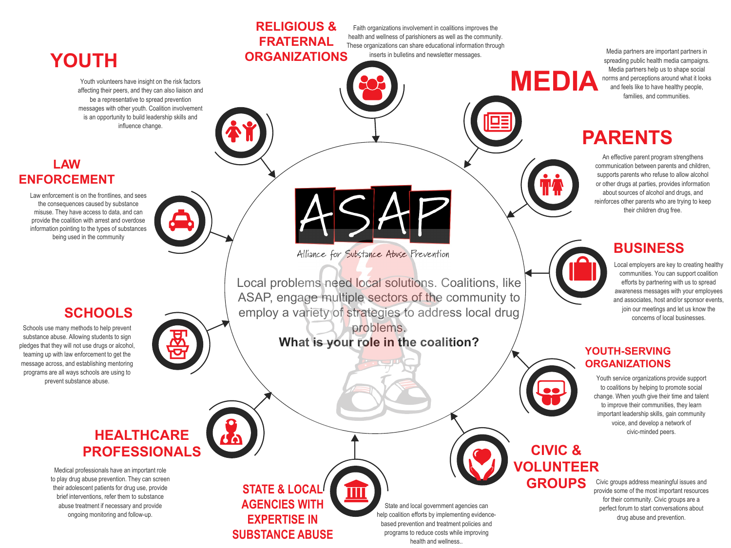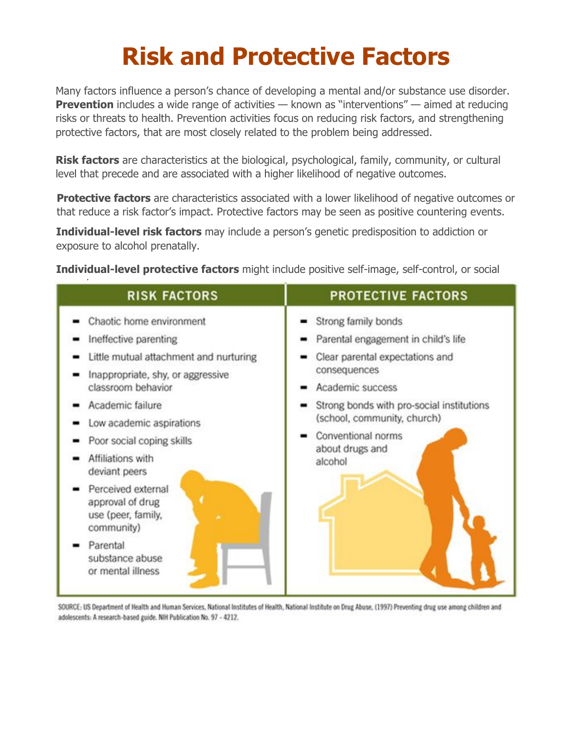# **Risk and Protective Factors**

Many factors influence a person's chance of developing a mental and/or substance use disorder. **Prevention** includes a wide range of activities — known as "interventions" — aimed at reducing risks or threats to health. Prevention activities focus on reducing risk factors, and strengthening protective factors, that are most closely related to the problem being addressed.

**Risk factors** are characteristics at the biological, psychological, family, community, or cultural level that precede and are associated with a higher likelihood of negative outcomes.

**Protective factors** are characteristics associated with a lower likelihood of negative [outcomes](https://www.samhsa.gov/capt/applying-strategic-prevention-framework) or that reduce a risk factor's impact. Protective factors may be seen as positive countering events.

**[Individual-level risk factors](https://www.samhsa.gov/capt/applying-strategic-prevention-framework)** may include a person's genetic predisposition to addiction or exposure to alcohol prenatally.

**Individual-level protective factors** might include positive self-image, self-control, or social

| <b>RISK FACTORS</b>                                                         | <b>PROTECTIVE FACTORS</b>                                           |  |  |
|-----------------------------------------------------------------------------|---------------------------------------------------------------------|--|--|
| Chaotic home environment                                                    | Strong family bonds                                                 |  |  |
| Ineffective parenting                                                       | Parental engagement in child's life                                 |  |  |
| Little mutual attachment and nurturing<br>Inappropriate, shy, or aggressive | Clear parental expectations and<br>consequences<br>Academic success |  |  |
| classroom behavior                                                          |                                                                     |  |  |
| Academic failure                                                            | Strong bonds with pro-social institutions                           |  |  |
| Low academic aspirations                                                    | (school, community, church)                                         |  |  |
| Poor social coping skills                                                   | Conventional norms<br>about drugs and                               |  |  |
| Affiliations with<br>deviant peers                                          | alcohol                                                             |  |  |
| Perceived external<br>approval of drug<br>use (peer, family,<br>community)  |                                                                     |  |  |
| Parental<br>substance abuse<br>or mental illness                            |                                                                     |  |  |

SOURCE: US Department of Health and Human Services, National Institutes of Health, National Institute on Drug Abuse, (1997) Preventing drug use among children and adolescents: A research-based guide. NIH Publication No. 97 - 4212.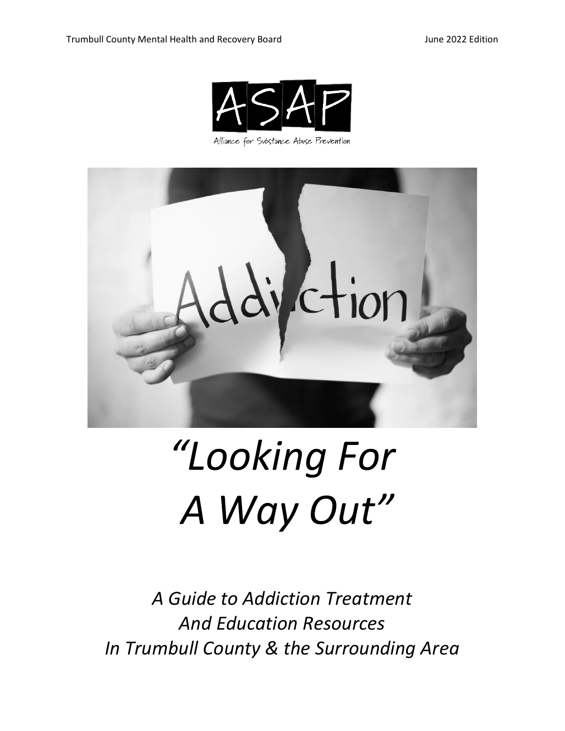

Alliance for Substance Abuse Prevention



# *"Looking For A Way Out"*

*A Guide to Addiction Treatment And Education Resources In Trumbull County & the Surrounding Area*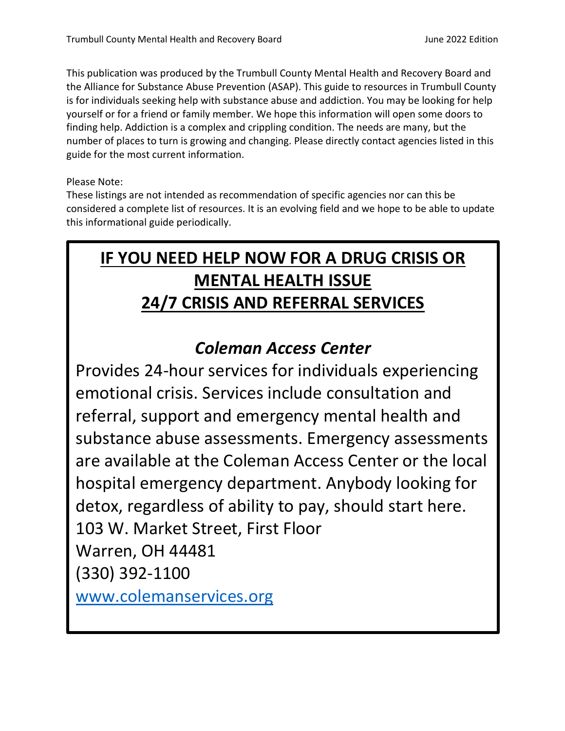This publication was produced by the Trumbull County Mental Health and Recovery Board and the Alliance for Substance Abuse Prevention (ASAP). This guide to resources in Trumbull County is for individuals seeking help with substance abuse and addiction. You may be looking for help yourself or for a friend or family member. We hope this information will open some doors to finding help. Addiction is a complex and crippling condition. The needs are many, but the number of places to turn is growing and changing. Please directly contact agencies listed in this guide for the most current information.

Please Note:

These listings are not intended as recommendation of specific agencies nor can this be considered a complete list of resources. It is an evolving field and we hope to be able to update this informational guide periodically.

## **IF YOU NEED HELP NOW FOR A DRUG CRISIS OR MENTAL HEALTH ISSUE 24/7 CRISIS AND REFERRAL SERVICES**

### *Coleman Access Center*

Provides 24-hour services for individuals experiencing emotional crisis. Services include consultation and referral, support and emergency mental health and substance abuse assessments. Emergency assessments are available at the Coleman Access Center or the local hospital emergency department. Anybody looking for detox, regardless of ability to pay, should start here. 103 W. Market Street, First Floor Warren, OH 44481 (330) 392-1100 [www.colemanservices.org](http://www.colemanservices.org/)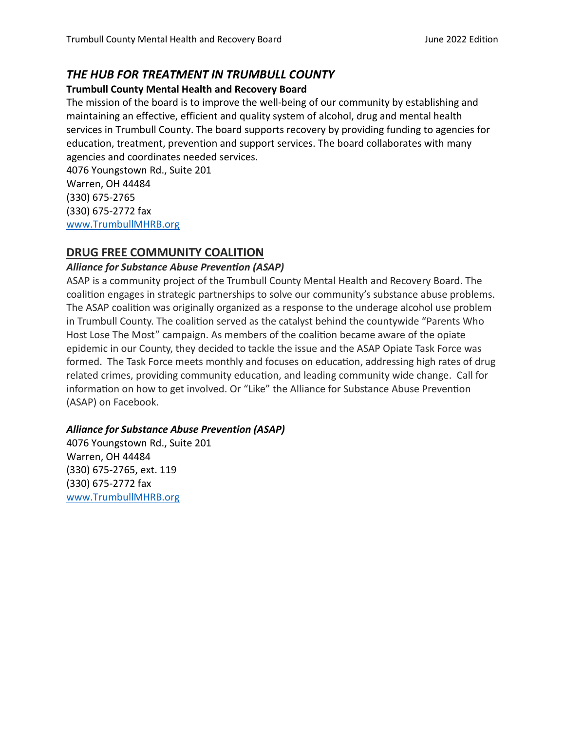#### *THE HUB FOR TREATMENT IN TRUMBULL COUNTY*

#### **Trumbull County Mental Health and Recovery Board**

The mission of the board is to improve the well-being of our community by establishing and maintaining an effective, efficient and quality system of alcohol, drug and mental health services in Trumbull County. The board supports recovery by providing funding to agencies for education, treatment, prevention and support services. The board collaborates with many agencies and coordinates needed services.

4076 Youngstown Rd., Suite 201 Warren, OH 44484 (330) 675-2765 (330) 675-2772 fax [www.TrumbullMHRB.org](http://www.trumbullmhrb.org/)

#### **DRUG FREE COMMUNITY COALITION**

#### *Alliance for Substance Abuse Prevention (ASAP)*

ASAP is a community project of the Trumbull County Mental Health and Recovery Board. The coalition engages in strategic partnerships to solve our community's substance abuse problems. The ASAP coalition was originally organized as a response to the underage alcohol use problem in Trumbull County. The coalition served as the catalyst behind the countywide "Parents Who Host Lose The Most" campaign. As members of the coalition became aware of the opiate epidemic in our County, they decided to tackle the issue and the ASAP Opiate Task Force was formed. The Task Force meets monthly and focuses on education, addressing high rates of drug related crimes, providing community education, and leading community wide change. Call for information on how to get involved. Or "Like" the Alliance for Substance Abuse Prevention (ASAP) on Facebook.

#### *Alliance for Substance Abuse Prevention (ASAP)*

4076 Youngstown Rd., Suite 201 Warren, OH 44484 (330) 675-2765, ext. 119 (330) 675-2772 fax [www.TrumbullMHRB.org](http://www.trumbullmhrb.org/)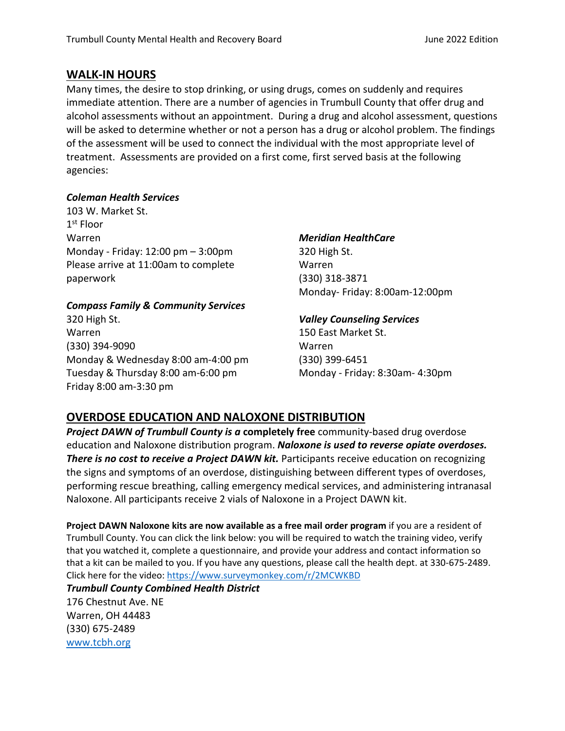#### **WALK-IN HOURS**

Many times, the desire to stop drinking, or using drugs, comes on suddenly and requires immediate attention. There are a number of agencies in Trumbull County that offer drug and alcohol assessments without an appointment. During a drug and alcohol assessment, questions will be asked to determine whether or not a person has a drug or alcohol problem. The findings of the assessment will be used to connect the individual with the most appropriate level of treatment. Assessments are provided on a first come, first served basis at the following agencies:

#### *Coleman Health Services*

103 W. Market St. 1<sup>st</sup> Floor Warren Monday - Friday: 12:00 pm – 3:00pm Please arrive at 11:00am to complete paperwork

#### *Compass Family & Community Services*

320 High St. Warren (330) 394-9090 Monday & Wednesday 8:00 am-4:00 pm Tuesday & Thursday 8:00 am-6:00 pm Friday 8:00 am-3:30 pm

#### *Meridian HealthCare*

320 High St. Warren (330) 318-3871 Monday- Friday: 8:00am-12:00pm

#### *Valley Counseling Services*

150 East Market St. Warren (330) 399-6451 Monday - Friday: 8:30am- 4:30pm

#### **OVERDOSE EDUCATION AND NALOXONE DISTRIBUTION**

*Project DAWN of Trumbull County is a* **completely free** community-based drug overdose education and Naloxone distribution program. *Naloxone is used to reverse opiate overdoses.* **There is no cost to receive a Project DAWN kit.** Participants receive education on recognizing the signs and symptoms of an overdose, distinguishing between different types of overdoses, performing rescue breathing, calling emergency medical services, and administering intranasal Naloxone. All participants receive 2 vials of Naloxone in a Project DAWN kit.

**Project DAWN Naloxone kits are now available as a free mail order program** if you are a resident of Trumbull County. You can click the link below: you will be required to watch the training video, verify that you watched it, complete a questionnaire, and provide your address and contact information so that a kit can be mailed to you. If you have any questions, please call the health dept. at 330-675-2489. Click here for the video: https://www.surveymonkey.com/r/2MCWKBD

#### *[Trumbull Coun](http://www.tcbh.org/)ty Combined Health District*

176 Chestnut Ave. NE Warren, OH 44483 (330) 675-2489 www.tcbh.org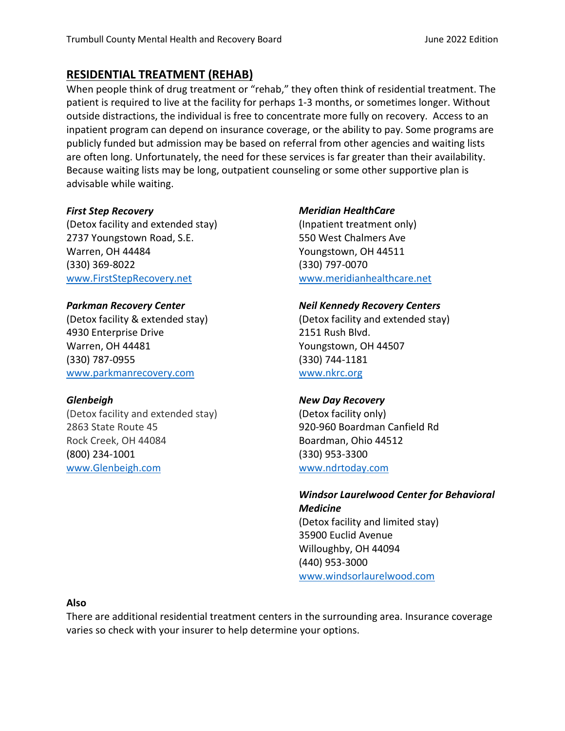#### **RESIDENTIAL TREATMENT (REHAB)**

When people think of drug treatment or "rehab," they often think of residential treatment. The patient is required to live at the facility for perhaps 1-3 months, or sometimes longer. Without outside distractions, the individual is free to concentrate more fully on recovery. Access to an inpatient program can depend on insurance coverage, or the ability to pay. Some programs are publicly funded but admission may be based on referral from other agencies and waiting lists are often long. Unfortunately, the need for these services is far greater than their availability. Because waiting lists may be long, outpatient counseling or some other supportive plan is advisable while waiting.

#### *First Step Recovery*

(Detox facility and extended stay) 2737 Youngstown Road, S.E. Warren, OH 44484 (330) 369-8022 [www.FirstStepRecovery.net](http://www.firststeprecovery.net/)

#### *Parkman Recovery Center*

(Detox facility & extended stay) 4930 Enterprise Drive Warren, OH 44481 (330) 787-0955 [www.parkmanrecovery.com](http://www.parkmanrecovery.com/)

#### *Glenbeigh*

(Detox facility and extended stay) 2863 State Route 45 Rock Creek, OH 44084 (800) 234-1001 [www.Glenbeigh.com](http://www.glenbeigh.com/)

#### *Meridian HealthCare*

(Inpatient treatment only) 550 West Chalmers Ave Youngstown, OH 44511 (330) 797-0070 [www.meridianhealthcare.net](http://www.meridianhealthcare.net/)

#### *Neil Kennedy Recovery Centers*

(Detox facility and extended stay) 2151 Rush Blvd. Youngstown, OH 44507 (330) 744-1181 [www.n](http://www./)krc.org

#### *New Day Recovery*

(Detox facility only) 920-960 Boardman Canfield Rd Boardman, Ohio 44512 (330) 953-3300 [www.ndrtoday.com](http://www.ndrtoday.com/)

#### *Windsor Laurelwood Center for Behavioral Medicine* (Detox facility and limited stay) 35900 Euclid Avenue Willoughby, OH 44094 (440) 953-3000 [www.windsorlaurelwood.com](http://www.windsorlaurelwood.com/)

**Also**

There are additional residential treatment centers in the surrounding area. Insurance coverage varies so check with your insurer to help determine your options.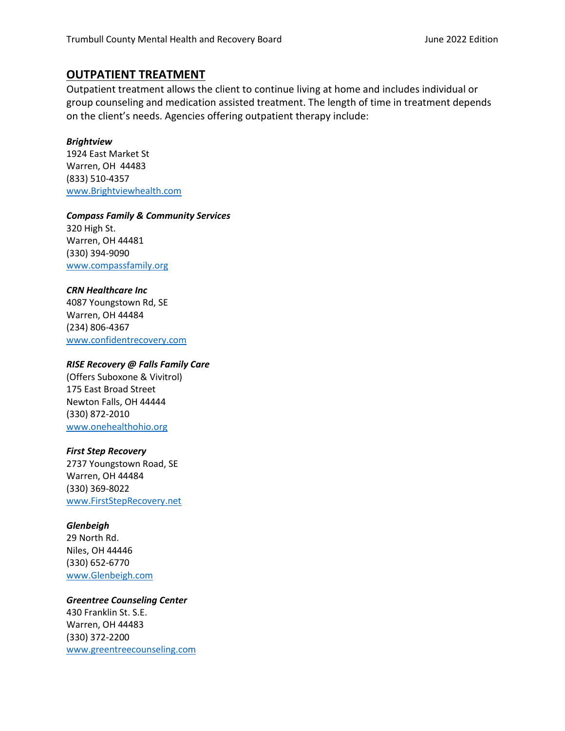#### **OUTPATIENT TREATMENT**

Outpatient treatment allows the client to continue living at home and includes individual or group counseling and medication assisted treatment. The length of time in treatment depends on the client's needs. Agencies offering outpatient therapy include:

#### *Brightview*

1924 East Market St Warren, OH 44483 (833) 510-4357 [www.Brightviewhealth.com](http://www.brightviewhealth.com/)

#### *Compass Family & Community Services*

320 High St. Warren, OH 44481 (330) 394-9090 [www.compassfamily.org](http://www.compassfamily.org/)

#### *CRN Healthcare Inc*

4087 Youngstown Rd, SE Warren, OH 44484 (234) 806-4367 [www.confidentrecovery.com](http://www.confidentrecovery.com/)

#### *RISE Recovery @ Falls Family Care*

(Offers Suboxone & Vivitrol) 175 East Broad Street Newton Falls, OH 44444 (330) 872-2010 [www.onehealthohio.org](http://www.onehealthohio.org/)

#### *First Step Recovery*

2737 Youngstown Road, SE Warren, OH 44484 (330) 369-8022 [www.FirstStepRecovery.net](http://www.firststeprecovery.net/)

#### *Glenbeigh*

29 North Rd. Niles, OH 44446 (330) 652-6770 [www.Glenbeigh.com](http://www.glenbeigh.com/)

#### *Greentree Counseling Center*

430 Franklin St. S.E. Warren, OH 44483 (330) 372-2200 [www.greentreecounseling.com](http://www.greentreecounseling.com/)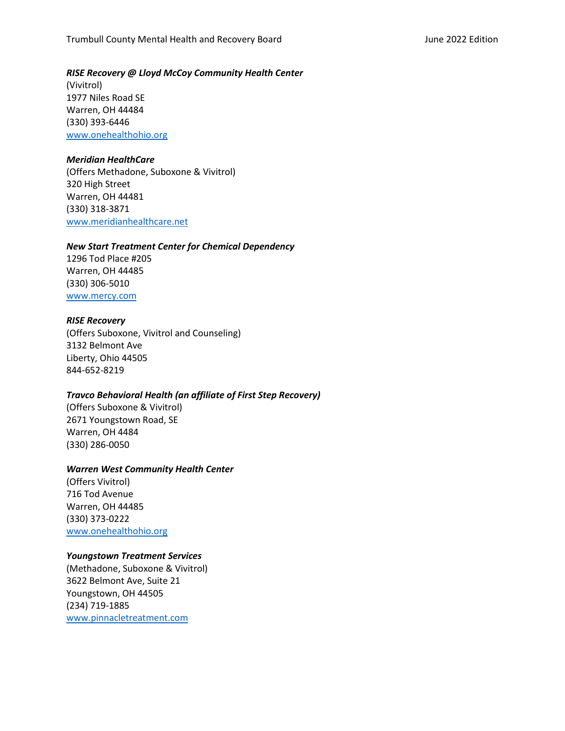#### *RISE Recovery @ Lloyd McCoy Community Health Center*

(Vivitrol) 1977 Niles Road SE Warren, OH 44484 (330) 393-6446 [www.onehealthohio.org](http://www.onehealthohio.org/)

#### *Meridian HealthCare*

(Offers Methadone, Suboxone & Vivitrol) 320 High Street Warren, OH 44481 (330) 318-3871 [www.meridianh](http://www.meridian/)ealthcare.net

#### *New Start Treatment Center for Chemical Dependency*

1296 Tod Place #205 Warren, OH 44485 (330) 306-5010 [www.mercy.com](http://www.mercy.com/)

#### *RISE Recovery*

(Offers Suboxone, Vivitrol and Counseling) 3132 Belmont Ave Liberty, Ohio 44505 844-652-8219

#### *Travco Behavioral Health (an affiliate of First Step Recovery)*

(Offers Suboxone & Vivitrol) 2671 Youngstown Road, SE Warren, OH 4484 (330) 286-0050

#### *Warren West Community Health Center*

(Offers Vivitrol) 716 Tod Avenue Warren, OH 44485 (330) 373-0222 [www.onehealthohio.org](http://www.onehealthohio.org/)

#### *Youngstown Treatment Services*

(Methadone, Suboxone & Vivitrol) 3622 Belmont Ave, Suite 21 Youngstown, OH 44505 (234) 719-1885 [www.pinnacletreatment.com](http://www.pinnacletreatment.com/)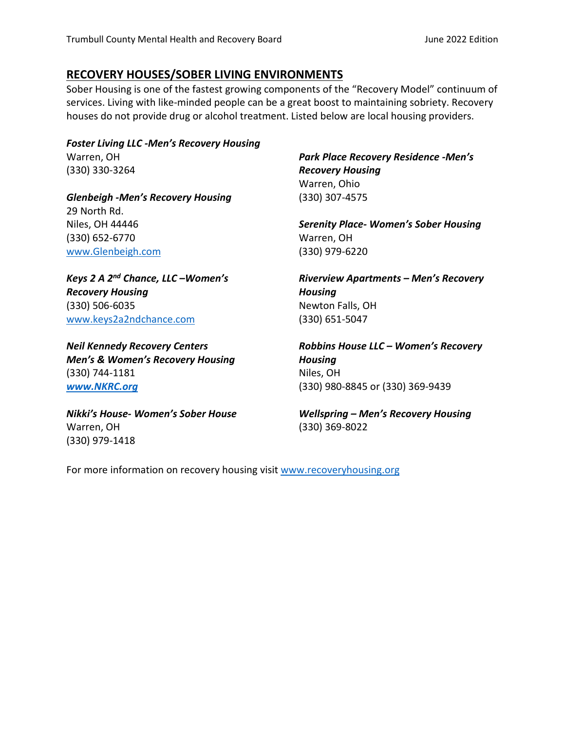#### **RECOVERY HOUSES/SOBER LIVING ENVIRONMENTS**

Sober Housing is one of the fastest growing components of the "Recovery Model" continuum of services. Living with like-minded people can be a great boost to maintaining sobriety. Recovery houses do not provide drug or alcohol treatment. Listed below are local housing providers.

*Foster Living LLC -Men's Recovery Housing* Warren, OH (330) 330-3264

*Glenbeigh -Men's Recovery Housing* 29 North Rd. Niles, OH 44446 (330) 652-6770 [www.Glenbeigh.com](http://www.glenbeigh.com/)

*Keys 2 A 2nd Chance, LLC –Women's Recovery Housing* (330) 506-6035 [www.keys2a2ndchance.com](http://www.keys2a2ndchance.com/) 

*Neil Kennedy Recovery Centers Men's & Women's Recovery Housing* (330) 744-1181 *[www.NKRC.org](http://www.nkrc.org/)*

*Nikki's House- Women's Sober House*  Warren, OH (330) 979-1418

*Park Place Recovery Residence -Men's Recovery Housing* Warren, Ohio (330) 307-4575

*Serenity Place- Women's Sober Housing*  Warren, OH (330) 979-6220

*Riverview Apartments – Men's Recovery Housing* Newton Falls, OH (330) 651-5047

*Robbins House LLC – Women's Recovery Housing* Niles, OH (330) 980-8845 or (330) 369-9439

*Wellspring – Men's Recovery Housing* (330) 369-8022

For more information on recovery housing visit www.recoveryhousing.org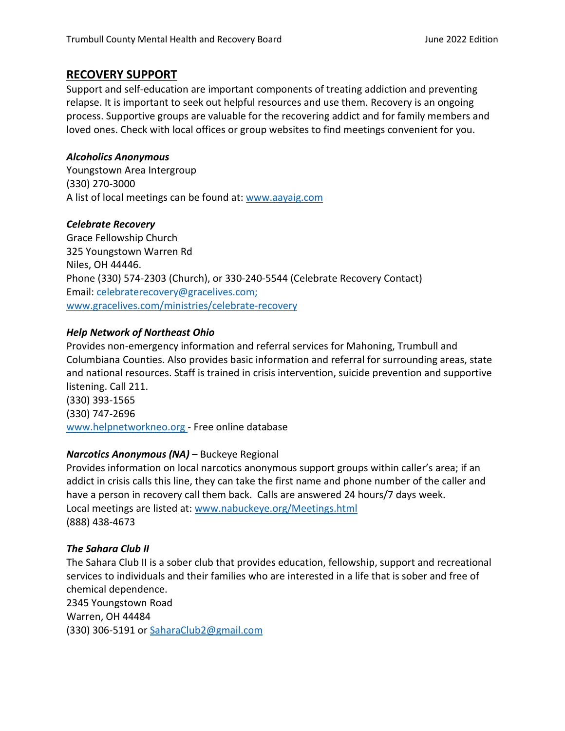#### **RECOVERY SUPPORT**

Support and self-education are important components of treating addiction and preventing relapse. It is important to seek out helpful resources and use them. Recovery is an ongoing process. Supportive groups are valuable for the recovering addict and for family members and loved ones. Check with local offices or group websites to find meetings convenient for you.

#### *Alcoholics Anonymous*

Youngstown Area Intergroup (330) 270-3000 A list of local meetings can be found at: [www.aayaig.com](http://www.aayaig.com/)

#### *Celebrate Recovery*

Grace Fellowship Church 325 Youngstown Warren Rd Niles, OH 44446. Phone (330) 574-2303 (Church), or 330-240-5544 (Celebrate Recovery Contact) Email: [celebraterecovery@gracelives.com;](mailto:celebraterecovery@gracelives.com) [www.gracelives.com/ministries/celebrate-recovery](http://www.gracelives.com/ministries/celebrate-recovery)

#### *Help Network of Northeast Ohio*

Provides non-emergency information and referral services for Mahoning, Trumbull and Columbiana Counties. Also provides basic information and referral for surrounding areas, state and national resources. Staff is trained in crisis intervention, suicide prevention and supportive listening. Call 211. (330) 393-1565

(330) 747-2696 [www.helpnetworkneo.org](http://www.helpnetworkneo.org/) - Free online database

#### *Narcotics Anonymous (NA)* – Buckeye Regional

Provides information on local narcotics anonymous support groups within caller's area; if an addict in crisis calls this line, they can take the first name and phone number of the caller and have a person in recovery call them back. Calls are answered 24 hours/7 days week. Local meetings are listed at: [www.nabuckeye.org/Meetings.html](http://www.nabuckeye.org/Meetings.html) (888) 438-4673

#### *The Sahara Club II*

The Sahara Club II is a sober club that provides education, fellowship, support and recreational services to individuals and their families who are interested in a life that is sober and free of chemical dependence. 2345 Youngstown Road Warren, OH 44484 (330) 306-5191 or [SaharaClub2@gmail.com](mailto:SaharaClub2@gmail.com)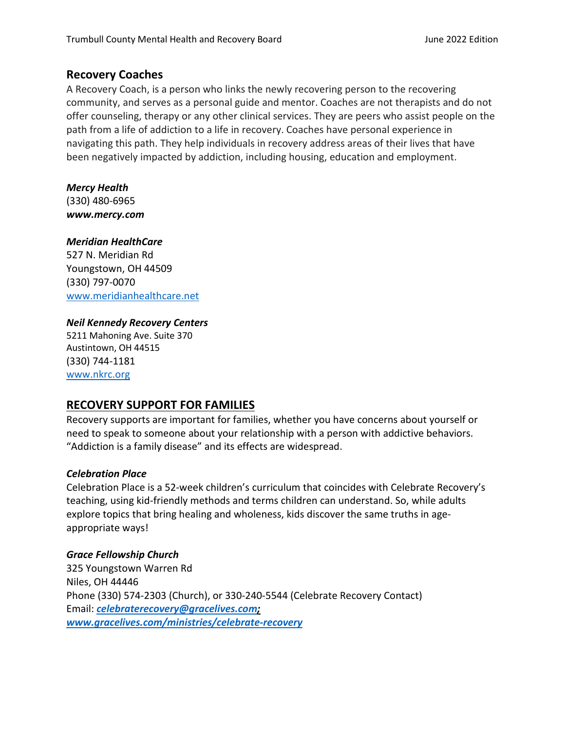#### **Recovery Coaches**

A Recovery Coach, is a person who links the newly recovering person to the recovering community, and serves as a personal guide and mentor. Coaches are not therapists and do not offer counseling, therapy or any other clinical services. They are peers who assist people on the path from a life of addiction to a life in recovery. Coaches have personal experience in navigating this path. They help individuals in recovery address areas of their lives that have been negatively impacted by addiction, including housing, education and employment.

#### *Mercy Health*

(330) 480-6965 *www.mercy.com*

#### *Meridian HealthCare*

527 N. Meridian Rd Youngstown, OH 44509 (330) 797-0070 [www.meridianh](http://www.meridian/)ealthcare.net

#### *Neil Kennedy Recovery Centers*

5211 Mahoning Ave. Suite 370 Austintown, OH 44515 (330) 744-1181 [www.nkrc.org](http://www.nkrc.org/)

#### **RECOVERY SUPPORT FOR FAMILIES**

Recovery supports are important for families, whether you have concerns about yourself or need to speak to someone about your relationship with a person with addictive behaviors. "Addiction is a family disease" and its effects are widespread.

#### *Celebration Place*

Celebration Place is a 52-week children's curriculum that coincides with Celebrate Recovery's teaching, using kid-friendly methods and terms children can understand. So, while adults explore topics that bring healing and wholeness, kids discover the same truths in ageappropriate ways!

#### *Grace Fellowship Church*

325 Youngstown Warren Rd Niles, OH 44446 Phone (330) 574-2303 (Church), or 330-240-5544 (Celebrate Recovery Contact) Email: *[celebraterecovery@gracelives.com;](mailto:celebraterecovery@gracelives.com) [www.gracelives.com/ministries/celebrate-recovery](http://www.gracelives.com/ministries/celebrate-recovery)*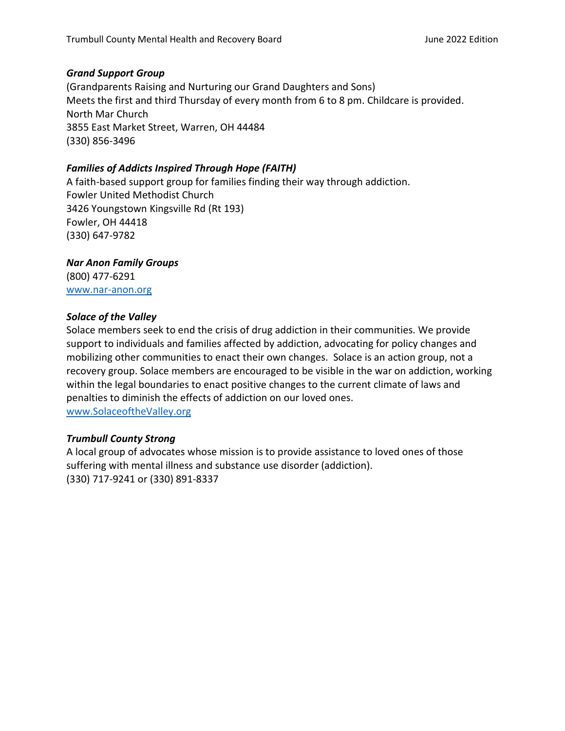#### *Grand Support Group*

(Grandparents Raising and Nurturing our Grand Daughters and Sons) Meets the first and third Thursday of every month from 6 to 8 pm. Childcare is provided. North Mar Church 3855 East Market Street, Warren, OH 44484 (330) 856-3496

#### *Families of Addicts Inspired Through Hope (FAITH)*

A faith-based support group for families finding their way through addiction. Fowler United Methodist Church 3426 Youngstown Kingsville Rd (Rt 193) Fowler, OH 44418 (330) 647-9782

#### *Nar Anon Family Groups*

(800) 477-6291 [www.nar-anon.org](http://www.nar-anon.org/)

#### *Solace of the Valley*

Solace members seek to end the crisis of drug addiction in their communities. We provide support to individuals and families affected by addiction, advocating for policy changes and mobilizing other communities to enact their own changes. Solace is an action group, not a recovery group. Solace members are encouraged to be visible in the war on addiction, working within the legal boundaries to enact positive changes to the current climate of laws and penalties to diminish the effects of addiction on our loved ones. [www.SolaceoftheValley.org](http://www.solaceofthevalley.org/)

#### *Trumbull County Strong*

A local group of advocates whose mission is to provide assistance to loved ones of those suffering with mental illness and substance use disorder (addiction). (330) 717-9241 or (330) 891-8337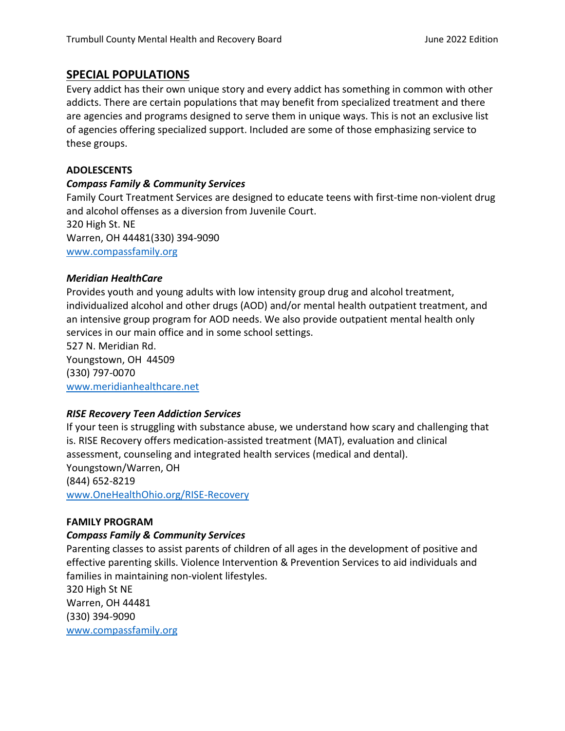#### **SPECIAL POPULATIONS**

Every addict has their own unique story and every addict has something in common with other addicts. There are certain populations that may benefit from specialized treatment and there are agencies and programs designed to serve them in unique ways. This is not an exclusive list of agencies offering specialized support. Included are some of those emphasizing service to these groups.

#### **ADOLESCENTS**

#### *Compass Family & Community Services*

Family Court Treatment Services are designed to educate teens with first-time non-violent drug and alcohol offenses as a diversion from Juvenile Court. 320 High St. NE Warren, OH 44481(330) 394-9090 [www.compassfamily.org](http://www.compassfamily.org/)

#### *Meridian HealthCare*

Provides youth and young adults with low intensity group drug and alcohol treatment, individualized alcohol and other drugs (AOD) and/or mental health outpatient treatment, and an intensive group program for AOD needs. We also provide outpatient mental health only services in our main office and in some school settings. 527 N. Meridian Rd.

Youngstown, OH 44509 (330) 797-0070 [www.meridianhealthcare.net](http://www.meridianhealthcare.net/)

#### *RISE Recovery Teen Addiction Services*

If your teen is struggling with substance abuse, we understand how scary and challenging that is. RISE Recovery offers medication-assisted treatment (MAT), evaluation and clinical assessment, counseling and integrated health services (medical and dental). Youngstown/Warren, OH (844) 652-8219 [www.OneHealthOhio.org/RISE-Recovery](http://www.onehealthohio.org/RISE-Recovery)

#### **FAMILY PROGRAM**

#### *Compass Family & Community Services*

Parenting classes to assist parents of children of all ages in the development of positive and effective parenting skills. Violence Intervention & Prevention Services to aid individuals and families in maintaining non-violent lifestyles.

320 High St NE Warren, OH 44481 (330) 394-9090 [www.compassfamily.org](http://www.compassfamily.org/)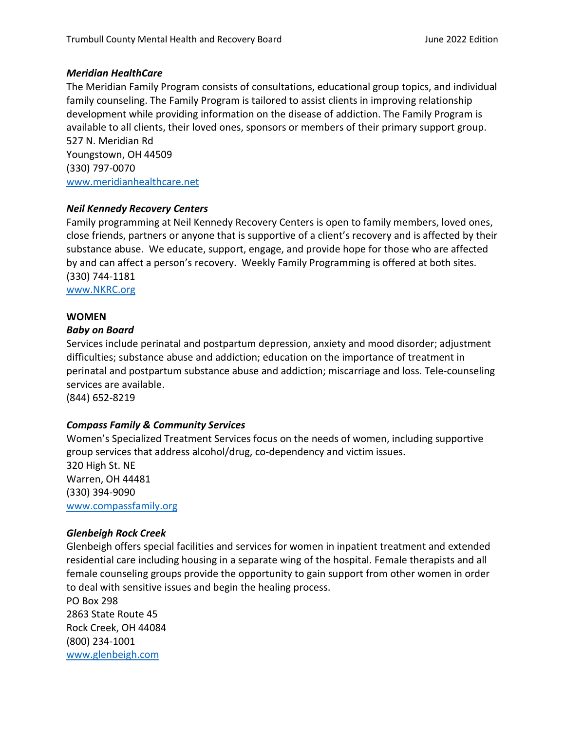#### *Meridian HealthCare*

The Meridian Family Program consists of consultations, educational group topics, and individual family counseling. The Family Program is tailored to assist clients in improving relationship development while providing information on the disease of addiction. The Family Program is available to all clients, their loved ones, sponsors or members of their primary support group. 527 N. Meridian Rd Youngstown, OH 44509 (330) 797-0070

[www.meridianhealthcare.net](http://www.meridianhealthcare.net/)

#### *Neil Kennedy Recovery Centers*

Family programming at Neil Kennedy Recovery Centers is open to family members, loved ones, close friends, partners or anyone that is supportive of a client's recovery and is affected by their substance abuse. We educate, support, engage, and provide hope for those who are affected by and can affect a person's recovery. Weekly Family Programming is offered at both sites. (330) 744-1181

[www.NKRC.org](http://www.nkrc.org/)

#### **WOMEN**

#### *Baby on Board*

Services include perinatal and postpartum depression, anxiety and mood disorder; adjustment difficulties; substance abuse and addiction; education on the importance of treatment in perinatal and postpartum substance abuse and addiction; miscarriage and loss. Tele-counseling services are available.

(844) 652-8219

#### *Compass Family & Community Services*

Women's Specialized Treatment Services focus on the needs of women, including supportive group services that address alcohol/drug, co-dependency and victim issues. 320 High St. NE Warren, OH 44481 (330) 394-9090 [www.compassfamily.org](http://www.compassfamily.org/)

#### *Glenbeigh Rock Creek*

Glenbeigh offers special facilities and services for women in inpatient treatment and extended residential care including housing in a separate wing of the hospital. Female therapists and all female counseling groups provide the opportunity to gain support from other women in order to deal with sensitive issues and begin the healing process.

PO Box 298 2863 State Route 45 Rock Creek, OH 44084 (800) 234-1001 [www.glenbeigh.com](http://www.glenbeigh.com/)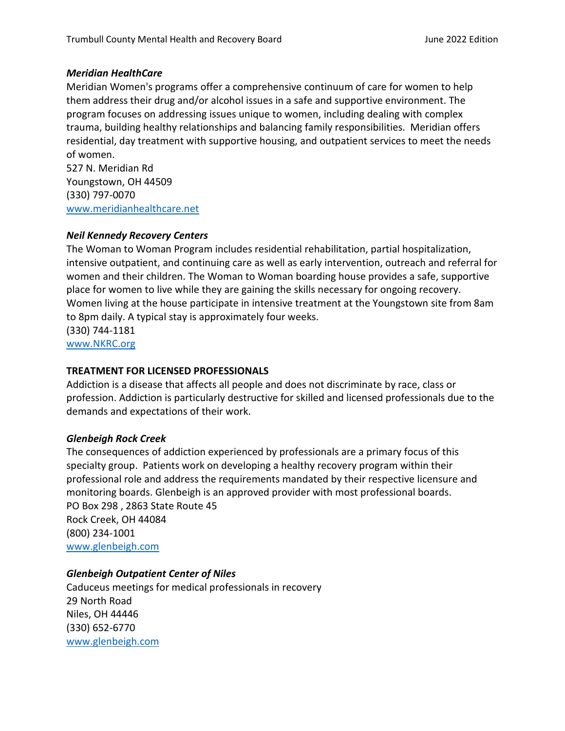#### *Meridian HealthCare*

Meridian Women's programs offer a comprehensive continuum of care for women to help them address their drug and/or alcohol issues in a safe and supportive environment. The program focuses on addressing issues unique to women, including dealing with complex trauma, building healthy relationships and balancing family responsibilities. Meridian offers residential, day treatment with supportive housing, and outpatient services to meet the needs of women.

527 N. Meridian Rd Youngstown, OH 44509 (330) 797-0070 [www.meridianh](http://www.meridian/)ealthcare.net

#### *Neil Kennedy Recovery Centers*

The Woman to Woman Program includes residential rehabilitation, partial hospitalization, intensive outpatient, and continuing care as well as early intervention, outreach and referral for women and their children. The Woman to Woman boarding house provides a safe, supportive place for women to live while they are gaining the skills necessary for ongoing recovery. Women living at the house participate in intensive treatment at the Youngstown site from 8am to 8pm daily. A typical stay is approximately four weeks. (330) 744-1181 [www.NKRC.org](http://www.nkrc.org/)

#### **TREATMENT FOR LICENSED PROFESSIONALS**

Addiction is a disease that affects all people and does not discriminate by race, class or profession. Addiction is particularly destructive for skilled and licensed professionals due to the demands and expectations of their work.

#### *Glenbeigh Rock Creek*

The consequences of addiction experienced by professionals are a primary focus of this specialty group. Patients work on developing a healthy recovery program within their professional role and address the requirements mandated by their respective licensure and monitoring boards. Glenbeigh is an approved provider with most professional boards. PO Box 298 , 2863 State Route 45 Rock Creek, OH 44084 (800) 234-1001 [www.glenbeigh.com](http://www.glenbeigh.com/)

#### *Glenbeigh Outpatient Center of Niles*

Caduceus meetings for medical professionals in recovery 29 North Road Niles, OH 44446 (330) 652-6770 [www.glenbeigh.com](http://www.glenbeigh.com/)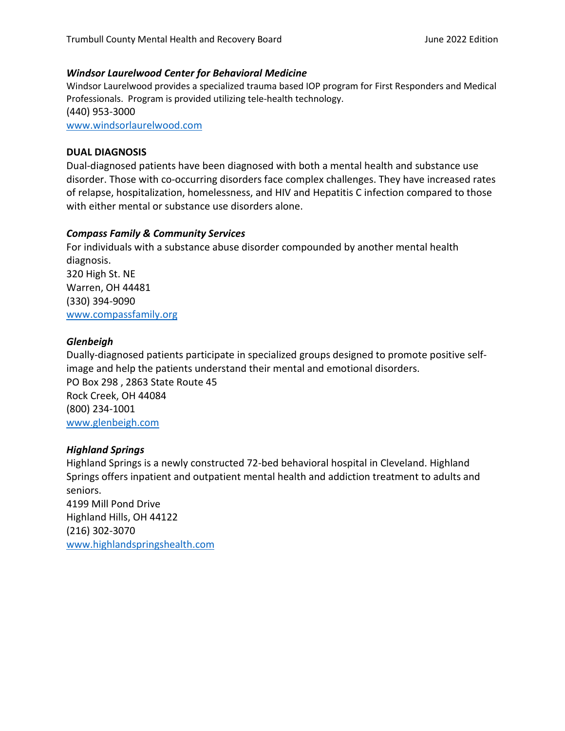#### *Windsor Laurelwood Center for Behavioral Medicine*

Windsor Laurelwood provides a specialized trauma based IOP program for First Responders and Medical Professionals. Program is provided utilizing tele-health technology. (440) 953-3000 [www.windsorlaurelwood.com](http://www.windsorlaurelwood.com/)

#### **DUAL DIAGNOSIS**

Dual-diagnosed patients have been diagnosed with both a mental health and substance use disorder. Those with co-occurring disorders face complex challenges. They have increased rates of relapse, hospitalization, [homelessness,](http://en.wikipedia.org/wiki/Homelessness) and [HIV](http://en.wikipedia.org/wiki/HIV) and [Hepatitis C](http://en.wikipedia.org/wiki/Hepatitis_C) infection compared to those with either mental or substance use disorders alone.

#### *Compass Family & Community Services*

For individuals with a substance abuse disorder compounded by another mental health diagnosis. 320 High St. NE Warren, OH 44481 (330) 394-9090 [www.compassfamily.org](http://www.compassfamily.org/)

#### *Glenbeigh*

Dually-diagnosed patients participate in specialized groups designed to promote positive selfimage and help the patients understand their mental and emotional disorders. PO Box 298 , 2863 State Route 45 Rock Creek, OH 44084 (800) 234-1001 [www.glenbeigh.com](http://www.glenbeigh.com/)

#### *Highland Springs*

Highland Springs is a newly constructed 72-bed behavioral hospital in Cleveland. Highland Springs offers inpatient and outpatient mental health and addiction treatment to adults and seniors.

4199 Mill Pond Drive Highland Hills, OH 44122 (216) 302-3070 [www.highlandspringshealth.com](http://www.highlandspringshealth.com/)